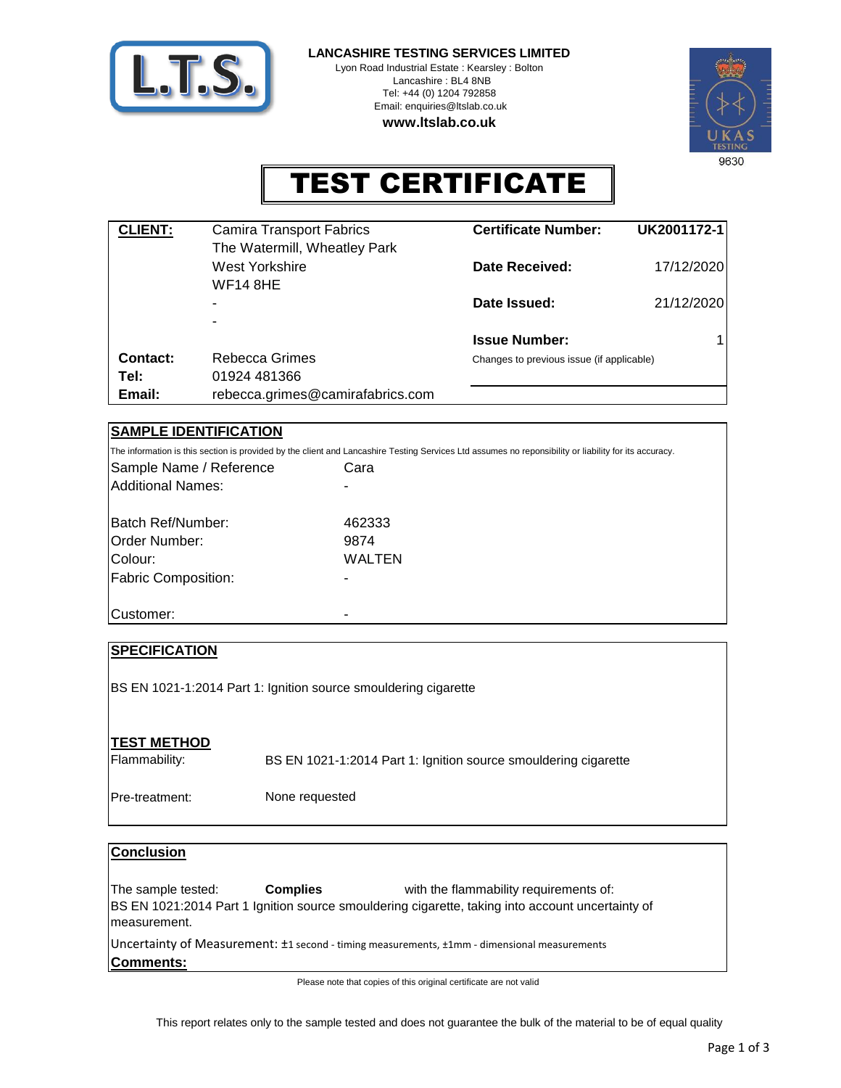

**LANCASHIRE TESTING SERVICES LIMITED**

Lyon Road Industrial Estate : Kearsley : Bolton Lancashire : BL4 8NB Tel: +44 (0) 1204 792858 Email: enquiries@ltslab.co.uk **www.ltslab.co.uk**



## TEST CERTIFICATE

| <b>CLIENT:</b> | <b>Camira Transport Fabrics</b>                | <b>Certificate Number:</b>                | UK2001172-1 |
|----------------|------------------------------------------------|-------------------------------------------|-------------|
|                | The Watermill, Wheatley Park<br>West Yorkshire | <b>Date Received:</b>                     | 17/12/2020  |
|                | WF14 8HE<br>$\overline{\phantom{0}}$           | Date Issued:                              | 21/12/2020  |
|                | ۰                                              |                                           |             |
|                |                                                | <b>Issue Number:</b>                      |             |
| Contact:       | Rebecca Grimes                                 | Changes to previous issue (if applicable) |             |
| Tel:           | 01924 481366                                   |                                           |             |
| Email:         | rebecca.grimes@camirafabrics.com               |                                           |             |

### **SAMPLE IDENTIFICATION**

Cara - Sample Name / Reference The information is this section is provided by the client and Lancashire Testing Services Ltd assumes no reponsibility or liability for its accuracy. Additional Names:

| Batch Ref/Number:          | 462333 |
|----------------------------|--------|
| Order Number:              | 9874   |
| Colour:                    | WALTEN |
| <b>Fabric Composition:</b> |        |
|                            |        |
| Customer:                  |        |

# **SPECIFICATION TEST METHOD** BS EN 1021-1:2014 Part 1: Ignition source smouldering cigarette

Flammability:

BS EN 1021-1:2014 Part 1: Ignition source smouldering cigarette

Pre-treatment: None requested

| <b>Conclusion</b>                   |                 |                                                                                                                                            |
|-------------------------------------|-----------------|--------------------------------------------------------------------------------------------------------------------------------------------|
| The sample tested:<br>Imeasurement. | <b>Complies</b> | with the flammability requirements of:<br>BS EN 1021:2014 Part 1 Ignition source smouldering cigarette, taking into account uncertainty of |
| Comments:                           |                 | Uncertainty of Measurement: ±1 second - timing measurements, ±1mm - dimensional measurements                                               |

Please note that copies of this original certificate are not valid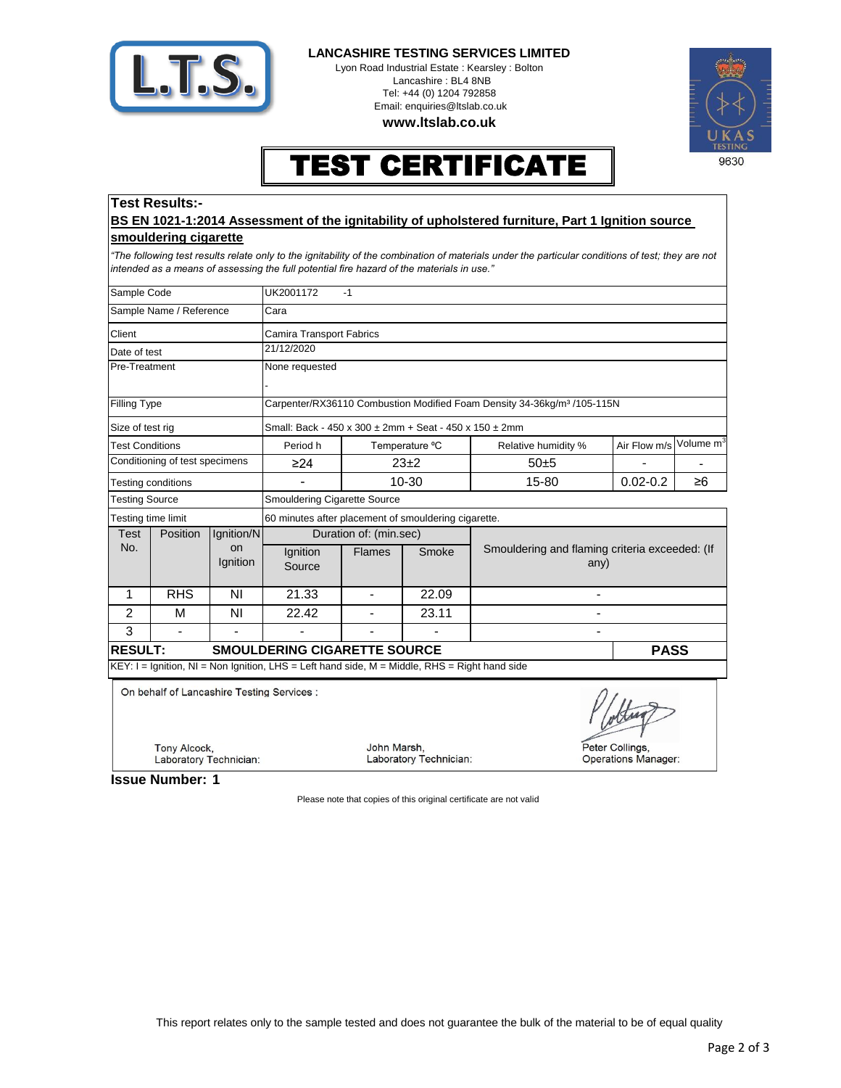

#### **LANCASHIRE TESTING SERVICES LIMITED**

Lyon Road Industrial Estate : Kearsley : Bolton Lancashire : BL4 8NB Tel: +44 (0) 1204 792858 Email: enquiries@ltslab.co.uk

**www.ltslab.co.uk**



### TEST CERTIFICATE

### **Test Results:-**

#### **BS EN 1021-1:2014 Assessment of the ignitability of upholstered furniture, Part 1 Ignition source smouldering cigarette**

*"The following test results relate only to the ignitability of the combination of materials under the particular conditions of test; they are not intended as a means of assessing the full potential fire hazard of the materials in use."*

| Sample Code                                           |                                                            |                                                        | UK2001172<br>$-1$                                                                                |                |                                                        |                            |                       |  |  |
|-------------------------------------------------------|------------------------------------------------------------|--------------------------------------------------------|--------------------------------------------------------------------------------------------------|----------------|--------------------------------------------------------|----------------------------|-----------------------|--|--|
| Sample Name / Reference                               |                                                            |                                                        | Cara                                                                                             |                |                                                        |                            |                       |  |  |
| Client                                                |                                                            |                                                        | <b>Camira Transport Fabrics</b>                                                                  |                |                                                        |                            |                       |  |  |
| Date of test                                          |                                                            | 21/12/2020                                             |                                                                                                  |                |                                                        |                            |                       |  |  |
| Pre-Treatment                                         |                                                            | None requested                                         |                                                                                                  |                |                                                        |                            |                       |  |  |
|                                                       |                                                            |                                                        |                                                                                                  |                |                                                        |                            |                       |  |  |
| Filling Type                                          |                                                            |                                                        | Carpenter/RX36110 Combustion Modified Foam Density 34-36kg/m <sup>3</sup> /105-115N              |                |                                                        |                            |                       |  |  |
| Size of test rig                                      |                                                            | Small: Back - 450 x 300 ± 2mm + Seat - 450 x 150 ± 2mm |                                                                                                  |                |                                                        |                            |                       |  |  |
| <b>Test Conditions</b>                                |                                                            | Period h                                               | Temperature °C                                                                                   |                | Relative humidity %                                    | Air Flow m/s               | Volume m <sup>3</sup> |  |  |
| Conditioning of test specimens                        |                                                            | $\geq$ 24                                              | $23+2$                                                                                           |                | 50±5                                                   |                            |                       |  |  |
| Testing conditions                                    |                                                            |                                                        | 10-30                                                                                            |                | 15-80                                                  | $0.02 - 0.2$               | ≥6                    |  |  |
| <b>Testing Source</b>                                 |                                                            | <b>Smouldering Cigarette Source</b>                    |                                                                                                  |                |                                                        |                            |                       |  |  |
| Testing time limit                                    |                                                            | 60 minutes after placement of smouldering cigarette.   |                                                                                                  |                |                                                        |                            |                       |  |  |
| Test<br>No.                                           | Position                                                   | Ignition/N<br>on<br>Ignition                           | Duration of: (min.sec)                                                                           |                |                                                        |                            |                       |  |  |
|                                                       |                                                            |                                                        | Ignition<br><b>Flames</b><br>Smoke<br>Source                                                     |                | Smouldering and flaming criteria exceeded: (If<br>any) |                            |                       |  |  |
| $\mathbf{1}$                                          | <b>RHS</b>                                                 | N <sub>1</sub>                                         | 21.33                                                                                            | $\blacksquare$ | 22.09                                                  |                            |                       |  |  |
| 2                                                     | М                                                          | N <sub>1</sub>                                         | 22.42                                                                                            |                | 23.11                                                  |                            |                       |  |  |
| 3                                                     | $\blacksquare$                                             | $\blacksquare$                                         | $\blacksquare$                                                                                   |                |                                                        |                            |                       |  |  |
| <b>RESULT:</b><br><b>SMOULDERING CIGARETTE SOURCE</b> |                                                            |                                                        |                                                                                                  |                | <b>PASS</b>                                            |                            |                       |  |  |
|                                                       |                                                            |                                                        | $KEY: I = Ignition, NI = Non Ignition, LHS = Left hand side, M = Middle, RHS = Right hand side)$ |                |                                                        |                            |                       |  |  |
|                                                       | On behalf of Lancashire Testing Services :<br>Tony Alcock, |                                                        |                                                                                                  | John Marsh,    |                                                        |                            | Peter Collings,       |  |  |
| Laboratory Technician:                                |                                                            |                                                        |                                                                                                  |                | Laboratory Technician:                                 | <b>Operations Manager:</b> |                       |  |  |

**1 Issue Number:**

Please note that copies of this original certificate are not valid